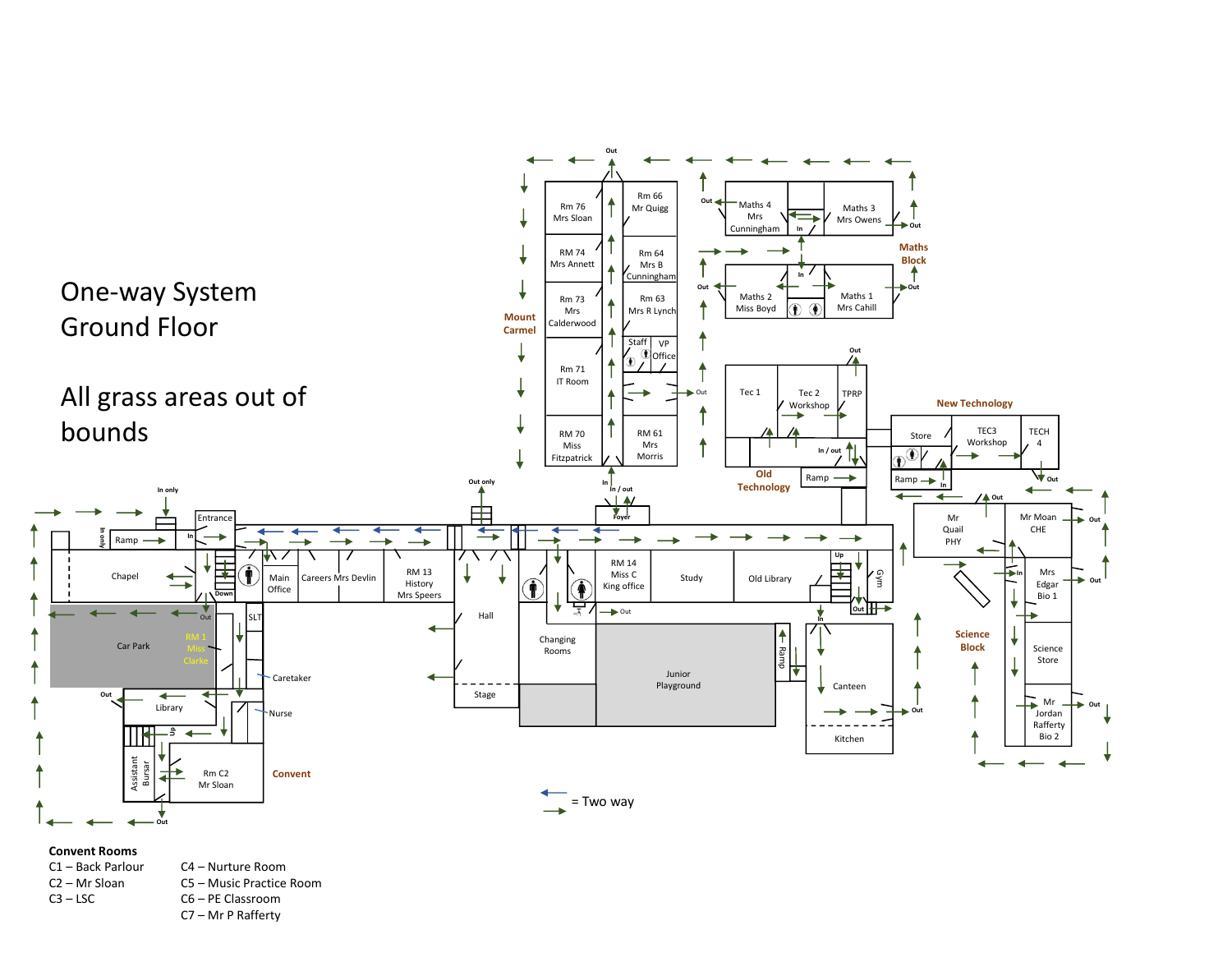

## Convent Rooms